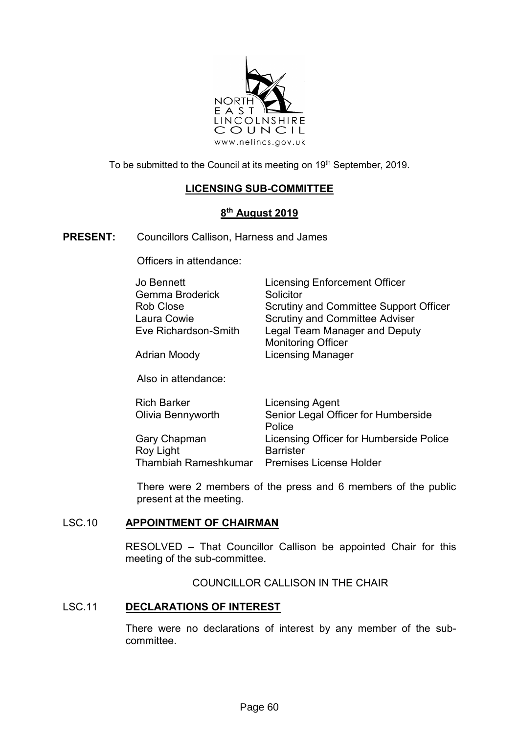

To be submitted to the Council at its meeting on 19<sup>th</sup> September, 2019.

# **LICENSING SUB-COMMITTEE**

## **8 th August 2019**

**PRESENT:** Councillors Callison, Harness and James

Officers in attendance:

| Jo Bennett           | <b>Licensing Enforcement Officer</b>          |
|----------------------|-----------------------------------------------|
| Gemma Broderick      | Solicitor                                     |
| Rob Close            | <b>Scrutiny and Committee Support Officer</b> |
| Laura Cowie          | <b>Scrutiny and Committee Adviser</b>         |
| Eve Richardson-Smith | <b>Legal Team Manager and Deputy</b>          |
|                      | <b>Monitoring Officer</b>                     |
| Adrian Moody         | <b>Licensing Manager</b>                      |

Also in attendance:

| <b>Rich Barker</b>   | Licensing Agent                         |
|----------------------|-----------------------------------------|
| Olivia Bennyworth    | Senior Legal Officer for Humberside     |
|                      | Police                                  |
| Gary Chapman         | Licensing Officer for Humberside Police |
| Roy Light            | <b>Barrister</b>                        |
| Thambiah Rameshkumar | <b>Premises License Holder</b>          |

There were 2 members of the press and 6 members of the public present at the meeting.

### LSC.10 **APPOINTMENT OF CHAIRMAN**

RESOLVED – That Councillor Callison be appointed Chair for this meeting of the sub-committee.

COUNCILLOR CALLISON IN THE CHAIR

### LSC.11 **DECLARATIONS OF INTEREST**

There were no declarations of interest by any member of the subcommittee.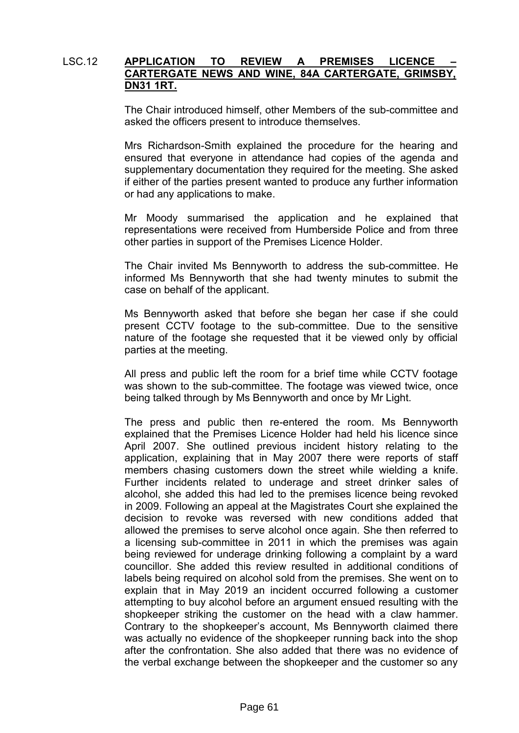#### LSC.12 APPLICATION TO REVIEW A PREMISES LICENCE **CARTERGATE NEWS AND WINE, 84A CARTERGATE, GRIMSBY, DN31 1RT.**

The Chair introduced himself, other Members of the sub-committee and asked the officers present to introduce themselves.

Mrs Richardson-Smith explained the procedure for the hearing and ensured that everyone in attendance had copies of the agenda and supplementary documentation they required for the meeting. She asked if either of the parties present wanted to produce any further information or had any applications to make.

Mr Moody summarised the application and he explained that representations were received from Humberside Police and from three other parties in support of the Premises Licence Holder.

The Chair invited Ms Bennyworth to address the sub-committee. He informed Ms Bennyworth that she had twenty minutes to submit the case on behalf of the applicant.

Ms Bennyworth asked that before she began her case if she could present CCTV footage to the sub-committee. Due to the sensitive nature of the footage she requested that it be viewed only by official parties at the meeting.

All press and public left the room for a brief time while CCTV footage was shown to the sub-committee. The footage was viewed twice, once being talked through by Ms Bennyworth and once by Mr Light.

The press and public then re-entered the room. Ms Bennyworth explained that the Premises Licence Holder had held his licence since April 2007. She outlined previous incident history relating to the application, explaining that in May 2007 there were reports of staff members chasing customers down the street while wielding a knife. Further incidents related to underage and street drinker sales of alcohol, she added this had led to the premises licence being revoked in 2009. Following an appeal at the Magistrates Court she explained the decision to revoke was reversed with new conditions added that allowed the premises to serve alcohol once again. She then referred to a licensing sub-committee in 2011 in which the premises was again being reviewed for underage drinking following a complaint by a ward councillor. She added this review resulted in additional conditions of labels being required on alcohol sold from the premises. She went on to explain that in May 2019 an incident occurred following a customer attempting to buy alcohol before an argument ensued resulting with the shopkeeper striking the customer on the head with a claw hammer. Contrary to the shopkeeper's account, Ms Bennyworth claimed there was actually no evidence of the shopkeeper running back into the shop after the confrontation. She also added that there was no evidence of the verbal exchange between the shopkeeper and the customer so any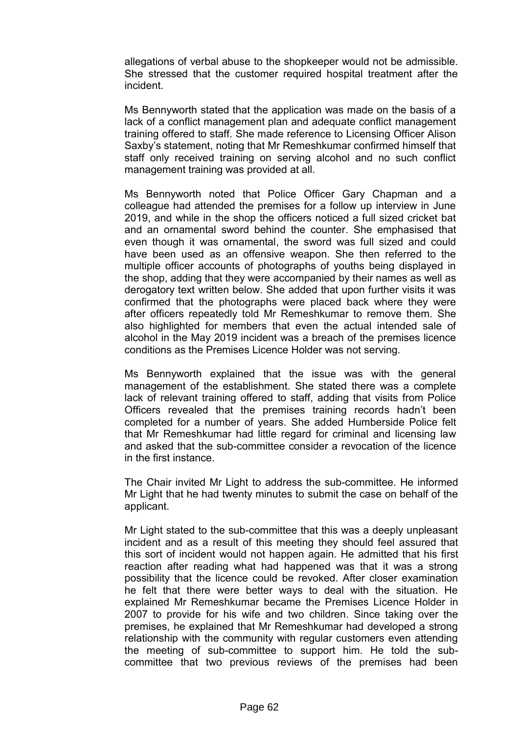allegations of verbal abuse to the shopkeeper would not be admissible. She stressed that the customer required hospital treatment after the incident.

Ms Bennyworth stated that the application was made on the basis of a lack of a conflict management plan and adequate conflict management training offered to staff. She made reference to Licensing Officer Alison Saxby's statement, noting that Mr Remeshkumar confirmed himself that staff only received training on serving alcohol and no such conflict management training was provided at all.

Ms Bennyworth noted that Police Officer Gary Chapman and a colleague had attended the premises for a follow up interview in June 2019, and while in the shop the officers noticed a full sized cricket bat and an ornamental sword behind the counter. She emphasised that even though it was ornamental, the sword was full sized and could have been used as an offensive weapon. She then referred to the multiple officer accounts of photographs of youths being displayed in the shop, adding that they were accompanied by their names as well as derogatory text written below. She added that upon further visits it was confirmed that the photographs were placed back where they were after officers repeatedly told Mr Remeshkumar to remove them. She also highlighted for members that even the actual intended sale of alcohol in the May 2019 incident was a breach of the premises licence conditions as the Premises Licence Holder was not serving.

Ms Bennyworth explained that the issue was with the general management of the establishment. She stated there was a complete lack of relevant training offered to staff, adding that visits from Police Officers revealed that the premises training records hadn't been completed for a number of years. She added Humberside Police felt that Mr Remeshkumar had little regard for criminal and licensing law and asked that the sub-committee consider a revocation of the licence in the first instance.

The Chair invited Mr Light to address the sub-committee. He informed Mr Light that he had twenty minutes to submit the case on behalf of the applicant.

Mr Light stated to the sub-committee that this was a deeply unpleasant incident and as a result of this meeting they should feel assured that this sort of incident would not happen again. He admitted that his first reaction after reading what had happened was that it was a strong possibility that the licence could be revoked. After closer examination he felt that there were better ways to deal with the situation. He explained Mr Remeshkumar became the Premises Licence Holder in 2007 to provide for his wife and two children. Since taking over the premises, he explained that Mr Remeshkumar had developed a strong relationship with the community with regular customers even attending the meeting of sub-committee to support him. He told the subcommittee that two previous reviews of the premises had been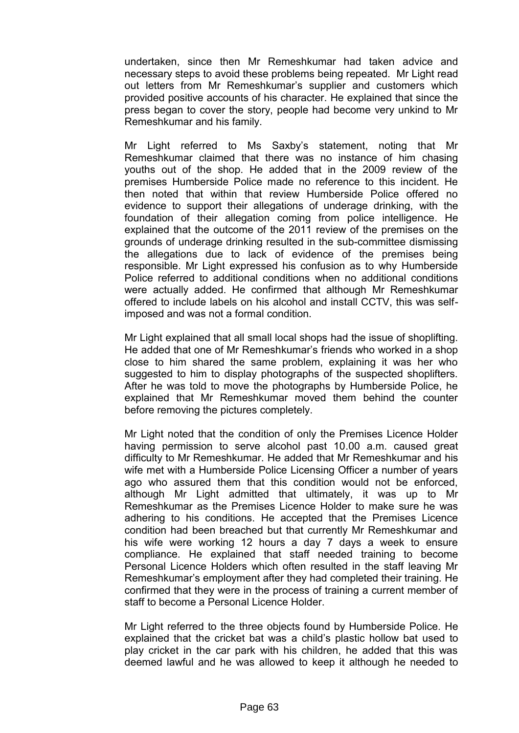undertaken, since then Mr Remeshkumar had taken advice and necessary steps to avoid these problems being repeated. Mr Light read out letters from Mr Remeshkumar's supplier and customers which provided positive accounts of his character. He explained that since the press began to cover the story, people had become very unkind to Mr Remeshkumar and his family.

Mr Light referred to Ms Saxby's statement, noting that Mr Remeshkumar claimed that there was no instance of him chasing youths out of the shop. He added that in the 2009 review of the premises Humberside Police made no reference to this incident. He then noted that within that review Humberside Police offered no evidence to support their allegations of underage drinking, with the foundation of their allegation coming from police intelligence. He explained that the outcome of the 2011 review of the premises on the grounds of underage drinking resulted in the sub-committee dismissing the allegations due to lack of evidence of the premises being responsible. Mr Light expressed his confusion as to why Humberside Police referred to additional conditions when no additional conditions were actually added. He confirmed that although Mr Remeshkumar offered to include labels on his alcohol and install CCTV, this was selfimposed and was not a formal condition.

Mr Light explained that all small local shops had the issue of shoplifting. He added that one of Mr Remeshkumar's friends who worked in a shop close to him shared the same problem, explaining it was her who suggested to him to display photographs of the suspected shoplifters. After he was told to move the photographs by Humberside Police, he explained that Mr Remeshkumar moved them behind the counter before removing the pictures completely.

Mr Light noted that the condition of only the Premises Licence Holder having permission to serve alcohol past 10.00 a.m. caused great difficulty to Mr Remeshkumar. He added that Mr Remeshkumar and his wife met with a Humberside Police Licensing Officer a number of years ago who assured them that this condition would not be enforced, although Mr Light admitted that ultimately, it was up to Mr Remeshkumar as the Premises Licence Holder to make sure he was adhering to his conditions. He accepted that the Premises Licence condition had been breached but that currently Mr Remeshkumar and his wife were working 12 hours a day 7 days a week to ensure compliance. He explained that staff needed training to become Personal Licence Holders which often resulted in the staff leaving Mr Remeshkumar's employment after they had completed their training. He confirmed that they were in the process of training a current member of staff to become a Personal Licence Holder

Mr Light referred to the three objects found by Humberside Police. He explained that the cricket bat was a child's plastic hollow bat used to play cricket in the car park with his children, he added that this was deemed lawful and he was allowed to keep it although he needed to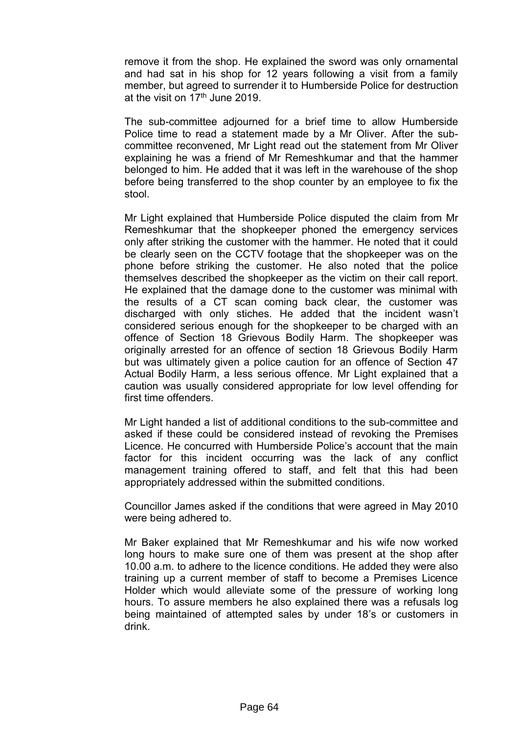remove it from the shop. He explained the sword was only ornamental and had sat in his shop for 12 years following a visit from a family member, but agreed to surrender it to Humberside Police for destruction at the visit on  $17<sup>th</sup>$  June 2019.

The sub-committee adjourned for a brief time to allow Humberside Police time to read a statement made by a Mr Oliver. After the subcommittee reconvened, Mr Light read out the statement from Mr Oliver explaining he was a friend of Mr Remeshkumar and that the hammer belonged to him. He added that it was left in the warehouse of the shop before being transferred to the shop counter by an employee to fix the stool.

Mr Light explained that Humberside Police disputed the claim from Mr Remeshkumar that the shopkeeper phoned the emergency services only after striking the customer with the hammer. He noted that it could be clearly seen on the CCTV footage that the shopkeeper was on the phone before striking the customer. He also noted that the police themselves described the shopkeeper as the victim on their call report. He explained that the damage done to the customer was minimal with the results of a CT scan coming back clear, the customer was discharged with only stiches. He added that the incident wasn't considered serious enough for the shopkeeper to be charged with an offence of Section 18 Grievous Bodily Harm. The shopkeeper was originally arrested for an offence of section 18 Grievous Bodily Harm but was ultimately given a police caution for an offence of Section 47 Actual Bodily Harm, a less serious offence. Mr Light explained that a caution was usually considered appropriate for low level offending for first time offenders.

Mr Light handed a list of additional conditions to the sub-committee and asked if these could be considered instead of revoking the Premises Licence. He concurred with Humberside Police's account that the main factor for this incident occurring was the lack of any conflict management training offered to staff, and felt that this had been appropriately addressed within the submitted conditions.

Councillor James asked if the conditions that were agreed in May 2010 were being adhered to.

Mr Baker explained that Mr Remeshkumar and his wife now worked long hours to make sure one of them was present at the shop after 10.00 a.m. to adhere to the licence conditions. He added they were also training up a current member of staff to become a Premises Licence Holder which would alleviate some of the pressure of working long hours. To assure members he also explained there was a refusals log being maintained of attempted sales by under 18's or customers in drink.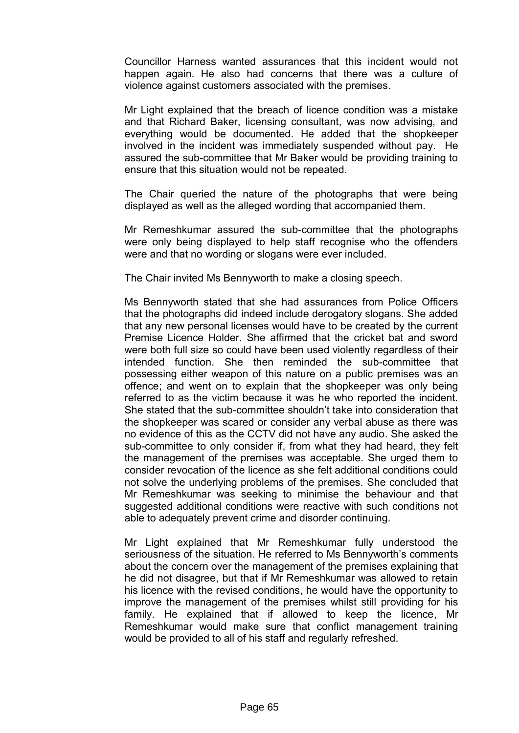Councillor Harness wanted assurances that this incident would not happen again. He also had concerns that there was a culture of violence against customers associated with the premises.

Mr Light explained that the breach of licence condition was a mistake and that Richard Baker, licensing consultant, was now advising, and everything would be documented. He added that the shopkeeper involved in the incident was immediately suspended without pay. He assured the sub-committee that Mr Baker would be providing training to ensure that this situation would not be repeated.

The Chair queried the nature of the photographs that were being displayed as well as the alleged wording that accompanied them.

Mr Remeshkumar assured the sub-committee that the photographs were only being displayed to help staff recognise who the offenders were and that no wording or slogans were ever included.

The Chair invited Ms Bennyworth to make a closing speech.

Ms Bennyworth stated that she had assurances from Police Officers that the photographs did indeed include derogatory slogans. She added that any new personal licenses would have to be created by the current Premise Licence Holder. She affirmed that the cricket bat and sword were both full size so could have been used violently regardless of their intended function. She then reminded the sub-committee that possessing either weapon of this nature on a public premises was an offence; and went on to explain that the shopkeeper was only being referred to as the victim because it was he who reported the incident. She stated that the sub-committee shouldn't take into consideration that the shopkeeper was scared or consider any verbal abuse as there was no evidence of this as the CCTV did not have any audio. She asked the sub-committee to only consider if, from what they had heard, they felt the management of the premises was acceptable. She urged them to consider revocation of the licence as she felt additional conditions could not solve the underlying problems of the premises. She concluded that Mr Remeshkumar was seeking to minimise the behaviour and that suggested additional conditions were reactive with such conditions not able to adequately prevent crime and disorder continuing.

Mr Light explained that Mr Remeshkumar fully understood the seriousness of the situation. He referred to Ms Bennyworth's comments about the concern over the management of the premises explaining that he did not disagree, but that if Mr Remeshkumar was allowed to retain his licence with the revised conditions, he would have the opportunity to improve the management of the premises whilst still providing for his family. He explained that if allowed to keep the licence, Mr Remeshkumar would make sure that conflict management training would be provided to all of his staff and regularly refreshed.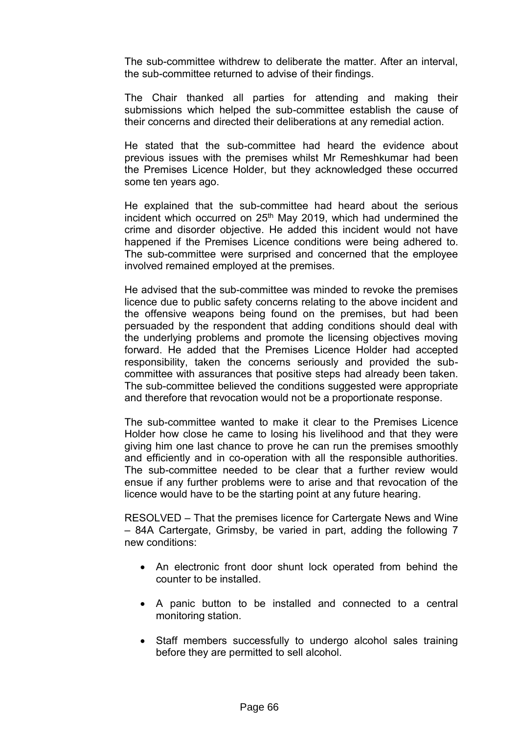The sub-committee withdrew to deliberate the matter. After an interval, the sub-committee returned to advise of their findings.

The Chair thanked all parties for attending and making their submissions which helped the sub-committee establish the cause of their concerns and directed their deliberations at any remedial action.

He stated that the sub-committee had heard the evidence about previous issues with the premises whilst Mr Remeshkumar had been the Premises Licence Holder, but they acknowledged these occurred some ten years ago.

He explained that the sub-committee had heard about the serious incident which occurred on  $25<sup>th</sup>$  May 2019, which had undermined the crime and disorder objective. He added this incident would not have happened if the Premises Licence conditions were being adhered to. The sub-committee were surprised and concerned that the employee involved remained employed at the premises.

He advised that the sub-committee was minded to revoke the premises licence due to public safety concerns relating to the above incident and the offensive weapons being found on the premises, but had been persuaded by the respondent that adding conditions should deal with the underlying problems and promote the licensing objectives moving forward. He added that the Premises Licence Holder had accepted responsibility, taken the concerns seriously and provided the subcommittee with assurances that positive steps had already been taken. The sub-committee believed the conditions suggested were appropriate and therefore that revocation would not be a proportionate response.

The sub-committee wanted to make it clear to the Premises Licence Holder how close he came to losing his livelihood and that they were giving him one last chance to prove he can run the premises smoothly and efficiently and in co-operation with all the responsible authorities. The sub-committee needed to be clear that a further review would ensue if any further problems were to arise and that revocation of the licence would have to be the starting point at any future hearing.

RESOLVED – That the premises licence for Cartergate News and Wine – 84A Cartergate, Grimsby, be varied in part, adding the following 7 new conditions:

- An electronic front door shunt lock operated from behind the counter to be installed.
- A panic button to be installed and connected to a central monitoring station.
- Staff members successfully to undergo alcohol sales training before they are permitted to sell alcohol.